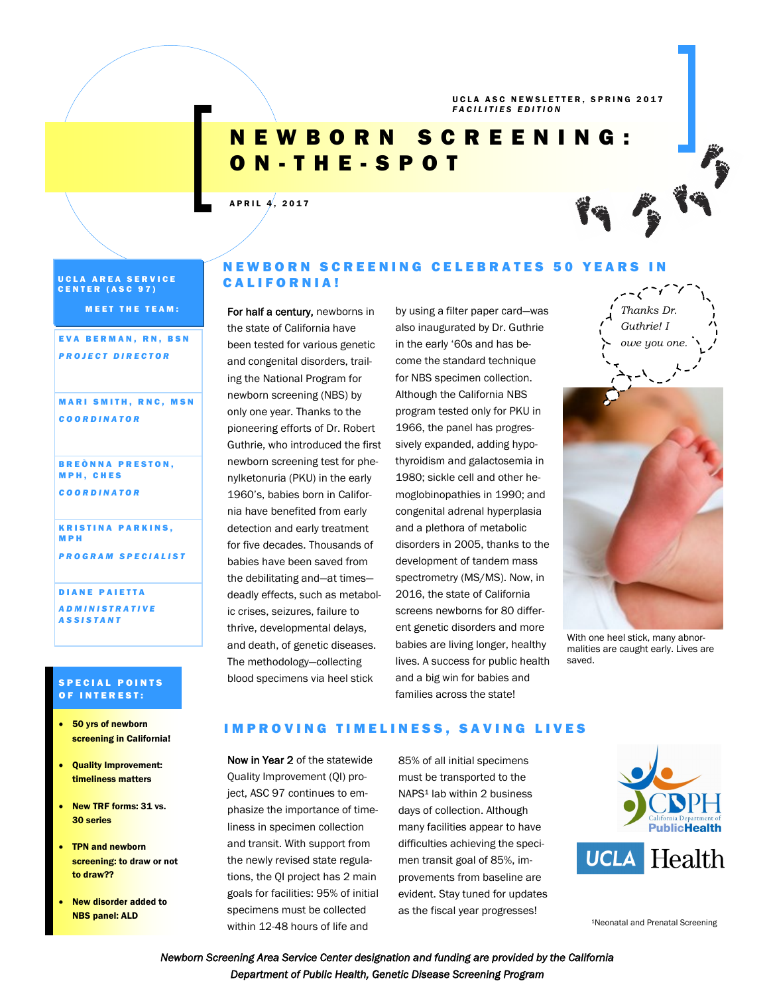UCLA ASC NEWSLETTER, SPRING 2017 *F A C I L I T I E S E D I T I O N*

# N E W B O R N S C R E E N I N G : O N - T H E - S P O T

# $AP$  R I L  $4, 2017$

UCLA AREA SERVICE CENTER (ASC 97)

**MEET THE TEAM:** 

EVA BERMAN, RN, BSN *P R O J E C T D I R E C T O R*

#### **MARI SMITH, RNC, MSN** *C O O R D I N A T O R*

**BREÒNNA PRESTON,** M P H , C H E S *C O O R D I N A T O R*

**KRISTINA PARKINS,** M P H *P R O G R A M S P E C I A L I S T*

DIANE PAIETTA *A D M I N I S T R A T I V E A S S I S T A N T* 

#### **SPECIAL POINTS** OF INTEREST:

- 50 yrs of newborn screening in California!
- Quality Improvement: timeliness matters
- New TRF forms: 31 vs. 30 series
- TPN and newborn screening: to draw or not to draw??
- New disorder added to NBS panel: ALD

# N E W B O R N S C R E E N I N G C E L E B R A T E S 50 Y E A R S I N CALIFORNIA!

For half a century, newborns in the state of California have been tested for various genetic and congenital disorders, trailing the National Program for newborn screening (NBS) by only one year. Thanks to the pioneering efforts of Dr. Robert Guthrie, who introduced the first newborn screening test for phenylketonuria (PKU) in the early 1960's, babies born in California have benefited from early detection and early treatment for five decades. Thousands of babies have been saved from the debilitating and—at times deadly effects, such as metabolic crises, seizures, failure to thrive, developmental delays, and death, of genetic diseases. The methodology—collecting blood specimens via heel stick

by using a filter paper card—was also inaugurated by Dr. Guthrie in the early '60s and has become the standard technique for NBS specimen collection. Although the California NBS program tested only for PKU in 1966, the panel has progressively expanded, adding hypothyroidism and galactosemia in 1980; sickle cell and other hemoglobinopathies in 1990; and congenital adrenal hyperplasia and a plethora of metabolic disorders in 2005, thanks to the development of tandem mass spectrometry (MS/MS). Now, in 2016, the state of California screens newborns for 80 different genetic disorders and more babies are living longer, healthy lives. A success for public health and a big win for babies and families across the state!



With one heel stick, many abnormalities are caught early. Lives are saved.

# IMPROVING TIMELINESS, SAVING LIVES

Now in Year 2 of the statewide Quality Improvement (QI) project, ASC 97 continues to emphasize the importance of timeliness in specimen collection and transit. With support from the newly revised state regulations, the QI project has 2 main goals for facilities: 95% of initial specimens must be collected within 12-48 hours of life and

85% of all initial specimens must be transported to the NAPS<sup>1</sup> lab within 2 business days of collection. Although many facilities appear to have difficulties achieving the specimen transit goal of 85%, improvements from baseline are evident. Stay tuned for updates as the fiscal year progresses!



<sup>1</sup>Neonatal and Prenatal Screening

*Newborn Screening Area Service Center designation and funding are provided by the California Department of Public Health, Genetic Disease Screening Program*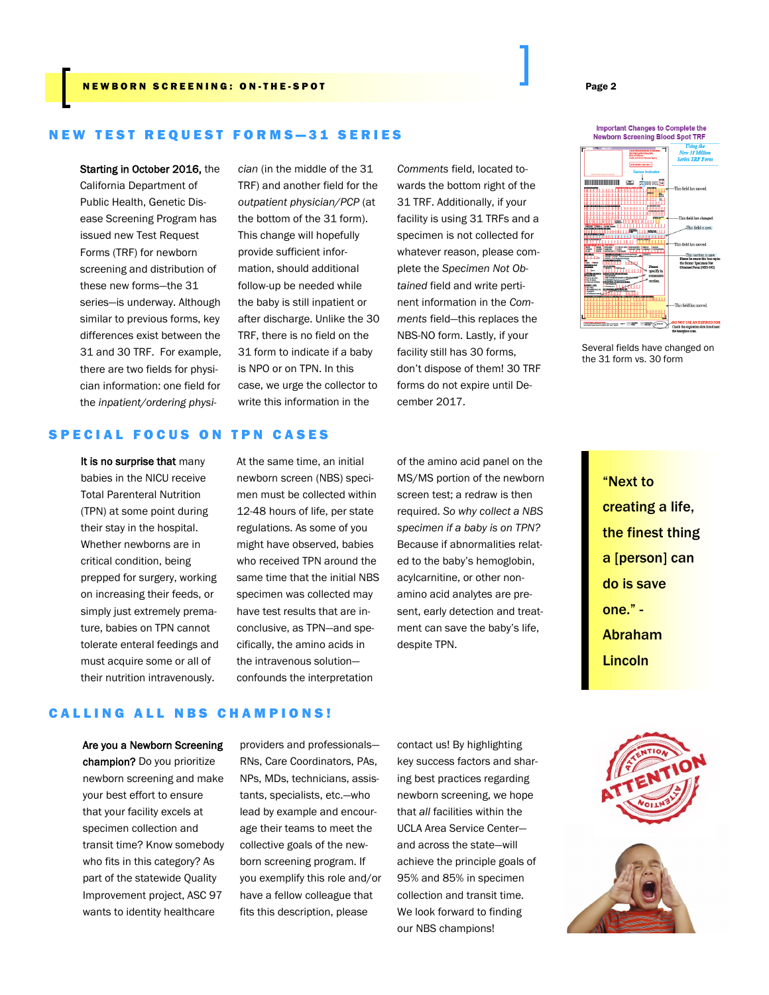#### N EW BORN SCREENING: ON-THE-SPOT AND REW REVENUES AND REVENUES AND RELEASED AND RELEASED AND RELEASED AND RELEASED AT A PAGE 2

#### **NEW TEST REQUEST FORMS-31 SERIES**

Starting in October 2016, the California Department of Public Health, Genetic Disease Screening Program has issued new Test Request Forms (TRF) for newborn screening and distribution of these new forms—the 31 series—is underway. Although similar to previous forms, key differences exist between the 31 and 30 TRF. For example, there are two fields for physician information: one field for the *inpatient/ordering physi-*

*cian* (in the middle of the 31 TRF) and another field for the *outpatient physician/PCP* (at the bottom of the 31 form). This change will hopefully provide sufficient information, should additional follow-up be needed while the baby is still inpatient or after discharge. Unlike the 30 TRF, there is no field on the 31 form to indicate if a baby is NPO or on TPN. In this case, we urge the collector to write this information in the

*Comments* field, located towards the bottom right of the 31 TRF. Additionally, if your facility is using 31 TRFs and a specimen is not collected for whatever reason, please complete the *Specimen Not Obtained* field and write pertinent information in the *Comments* field—this replaces the NBS-NO form. Lastly, if your facility still has 30 forms, don't dispose of them! 30 TRF forms do not expire until December 2017.



Several fields have changed on the 31 form vs. 30 form

## SPECIAL FOCUS ON TPN CASES

It is no surprise that many babies in the NICU receive Total Parenteral Nutrition (TPN) at some point during their stay in the hospital. Whether newborns are in critical condition, being prepped for surgery, working on increasing their feeds, or simply just extremely premature, babies on TPN cannot tolerate enteral feedings and must acquire some or all of their nutrition intravenously.

At the same time, an initial newborn screen (NBS) specimen must be collected within 12-48 hours of life, per state regulations. As some of you might have observed, babies who received TPN around the same time that the initial NBS specimen was collected may have test results that are inconclusive, as TPN—and specifically, the amino acids in the intravenous solution confounds the interpretation

of the amino acid panel on the MS/MS portion of the newborn screen test; a redraw is then required. *So why collect a NBS specimen if a baby is on TPN?*  Because if abnormalities related to the baby's hemoglobin, acylcarnitine, or other nonamino acid analytes are present, early detection and treatment can save the baby's life, despite TPN.

"Next to creating a life, the finest thing a [person] can do is save one." - Abraham Lincoln

#### **CALLING ALL NBS CHAMPIONS!**

Are you a Newborn Screening champion? Do you prioritize newborn screening and make your best effort to ensure that your facility excels at specimen collection and transit time? Know somebody who fits in this category? As part of the statewide Quality Improvement project, ASC 97 wants to identity healthcare

providers and professionals— RNs, Care Coordinators, PAs, NPs, MDs, technicians, assistants, specialists, etc.—who lead by example and encourage their teams to meet the collective goals of the newborn screening program. If you exemplify this role and/or have a fellow colleague that fits this description, please

contact us! By highlighting key success factors and sharing best practices regarding newborn screening, we hope that *all* facilities within the UCLA Area Service Center and across the state—will achieve the principle goals of 95% and 85% in specimen collection and transit time. We look forward to finding our NBS champions!

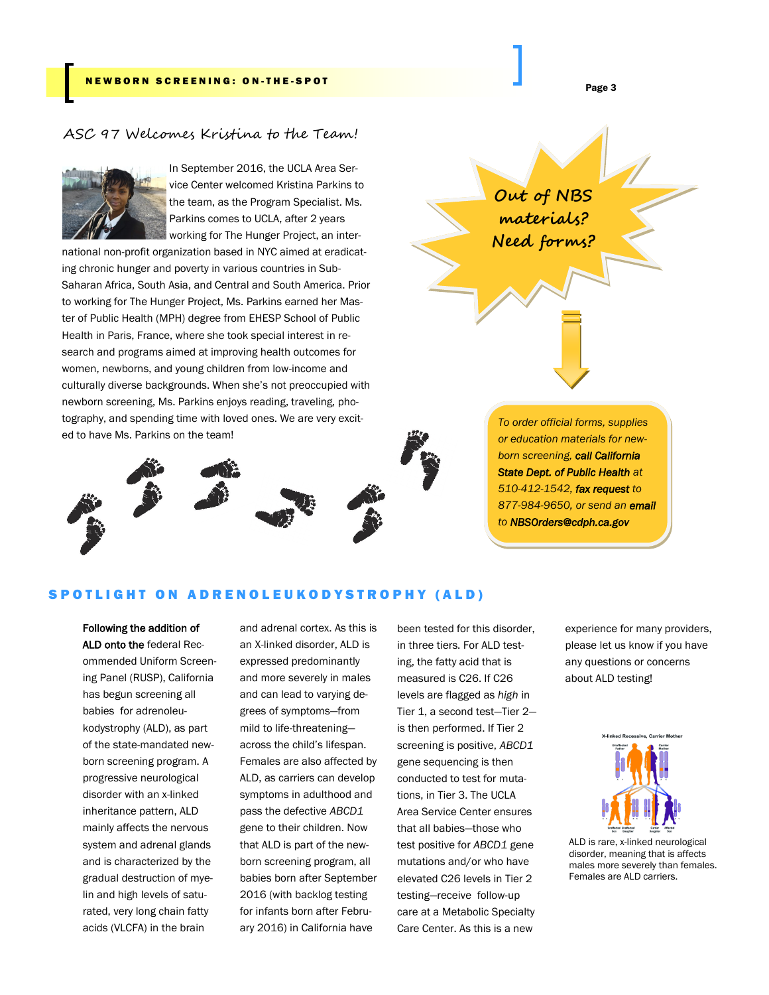# ASC 97 Welcomes Kristina to the Team!



In September 2016, the UCLA Area Service Center welcomed Kristina Parkins to the team, as the Program Specialist. Ms. Parkins comes to UCLA, after 2 years working for The Hunger Project, an inter-

national non-profit organization based in NYC aimed at eradicating chronic hunger and poverty in various countries in Sub-Saharan Africa, South Asia, and Central and South America. Prior to working for The Hunger Project, Ms. Parkins earned her Master of Public Health (MPH) degree from EHESP School of Public Health in Paris, France, where she took special interest in research and programs aimed at improving health outcomes for women, newborns, and young children from low-income and culturally diverse backgrounds. When she's not preoccupied with newborn screening, Ms. Parkins enjoys reading, traveling, photography, and spending time with loved ones. We are very excited to have Ms. Parkins on the team!



*To order official forms, supplies or education materials for newborn screening, call California State Dept. of Public Health at 510-412-1542, fax request to 877-984-9650, or send an email to NBSOrders@cdph.ca.gov* 

#### SPOTLIGHT ON ADRENOLEUKODYSTROPHY (ALD)

Following the addition of ALD onto the federal Recommended Uniform Screening Panel (RUSP), California has begun screening all babies for adrenoleukodystrophy (ALD), as part of the state-mandated newborn screening program. A progressive neurological disorder with an x-linked inheritance pattern, ALD mainly affects the nervous system and adrenal glands and is characterized by the gradual destruction of myelin and high levels of saturated, very long chain fatty acids (VLCFA) in the brain

and adrenal cortex. As this is an X-linked disorder, ALD is expressed predominantly and more severely in males and can lead to varying degrees of symptoms—from mild to life-threatening across the child's lifespan. Females are also affected by ALD, as carriers can develop symptoms in adulthood and pass the defective *ABCD1*  gene to their children. Now that ALD is part of the newborn screening program, all babies born after September 2016 (with backlog testing for infants born after February 2016) in California have

been tested for this disorder, in three tiers. For ALD testing, the fatty acid that is measured is C26. If C26 levels are flagged as *high* in Tier 1, a second test—Tier 2 is then performed. If Tier 2 screening is positive, *ABCD1* gene sequencing is then conducted to test for mutations, in Tier 3. The UCLA Area Service Center ensures that all babies—those who test positive for *ABCD1* gene mutations and/or who have elevated C26 levels in Tier 2 testing—receive follow-up care at a Metabolic Specialty Care Center. As this is a new

experience for many providers, please let us know if you have any questions or concerns about ALD testing!



ALD is rare, x-linked neurological disorder, meaning that is affects males more severely than females. Females are ALD carriers.